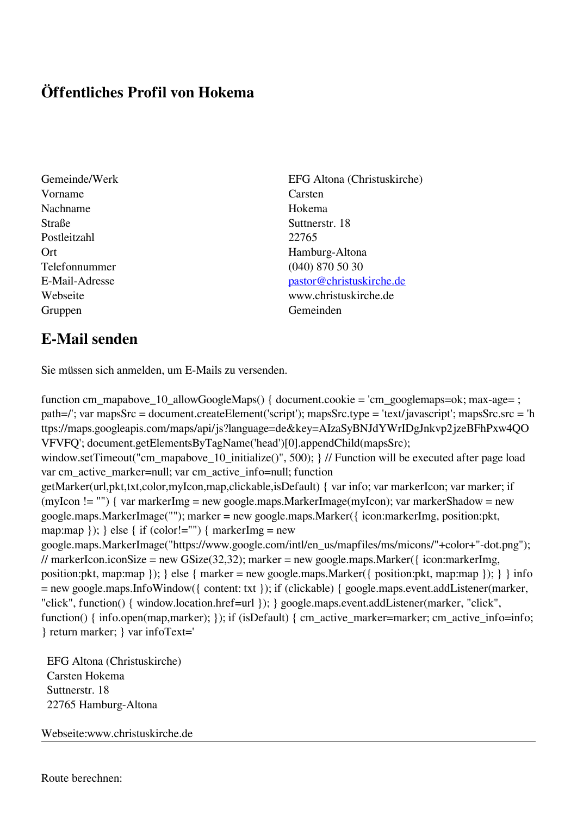## **Öffentliches Profil von Hokema**

- Vorname Carsten Nachname Hokema Straße Suttnerstr. 18 Postleitzahl 22765 Telefonnummer (040) 870 50 30 Gruppen Gemeinden Gemeinden Gemeinden Gemeinden Gemeinden Gemeinden Gemeinden Gemeinden Gemeinden Gemeinden G
- Gemeinde/Werk EFG Altona (Christuskirche) Ort Hamburg-Altona E-Mail-Adresse [pastor@christuskirche.de](mailto:pastor@christuskirche.de) Webseite www.christuskirche.de

## **E-Mail senden**

Sie müssen sich anmelden, um E-Mails zu versenden.

function cm\_mapabove\_10\_allowGoogleMaps() { document.cookie = 'cm\_googlemaps=ok; max-age= ; path=/'; var mapsSrc = document.createElement('script'); mapsSrc.type = 'text/javascript'; mapsSrc.src = 'h ttps://maps.googleapis.com/maps/api/js?language=de&key=AIzaSyBNJdYWrIDgJnkvp2jzeBFhPxw4QO VFVFQ'; document.getElementsByTagName('head')[0].appendChild(mapsSrc); window.setTimeout("cm\_mapabove\_10\_initialize()", 500); } // Function will be executed after page load var cm\_active\_marker=null; var cm\_active\_info=null; function getMarker(url,pkt,txt,color,myIcon,map,clickable,isDefault) { var info; var markerIcon; var marker; if (myIcon != "") { var markerImg = new google.maps.MarkerImage(myIcon); var markerShadow = new google.maps.MarkerImage(""); marker = new google.maps.Marker({ icon:markerImg, position:pkt, map:map  $\}$ ;  $\}$  else  $\{$  if (color!="")  $\{$  markerImg = new google.maps.MarkerImage("https://www.google.com/intl/en\_us/mapfiles/ms/micons/"+color+"-dot.png"); // markerIcon.iconSize = new GSize(32,32); marker = new google.maps.Marker({ $i$ con:markerImg, position:pkt, map:map }); } else { marker = new google.maps.Marker({ position:pkt, map:map }); } } info = new google.maps.InfoWindow({ content: txt }); if (clickable) { google.maps.event.addListener(marker, "click", function() { window.location.href=url }); } google.maps.event.addListener(marker, "click", function() { info.open(map,marker); }); if (isDefault) { cm\_active\_marker=marker; cm\_active\_info=info; } return marker; } var infoText='

 EFG Altona (Christuskirche) Carsten Hokema Suttnerstr. 18 22765 Hamburg-Altona

Webseite:www.christuskirche.de